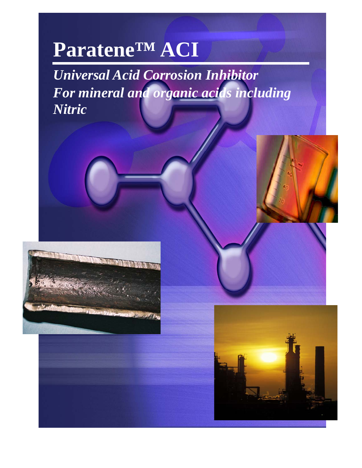# **Paratene™ ACI**

*Universal Acid Corrosion Inhibitor For mineral and organic acids including Nitric* 



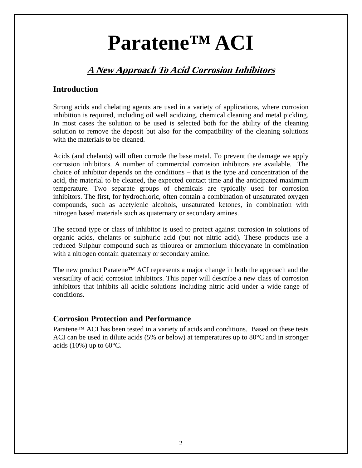# **Paratene™ ACI**

## **A New Approach To Acid Corrosion Inhibitors**

### **Introduction**

Strong acids and chelating agents are used in a variety of applications, where corrosion inhibition is required, including oil well acidizing, chemical cleaning and metal pickling. In most cases the solution to be used is selected both for the ability of the cleaning solution to remove the deposit but also for the compatibility of the cleaning solutions with the materials to be cleaned.

Acids (and chelants) will often corrode the base metal. To prevent the damage we apply corrosion inhibitors. A number of commercial corrosion inhibitors are available. The choice of inhibitor depends on the conditions – that is the type and concentration of the acid, the material to be cleaned, the expected contact time and the anticipated maximum temperature. Two separate groups of chemicals are typically used for corrosion inhibitors. The first, for hydrochloric, often contain a combination of unsaturated oxygen compounds, such as acetylenic alcohols, unsaturated ketones, in combination with nitrogen based materials such as quaternary or secondary amines.

The second type or class of inhibitor is used to protect against corrosion in solutions of organic acids, chelants or sulphuric acid (but not nitric acid). These products use a reduced Sulphur compound such as thiourea or ammonium thiocyanate in combination with a nitrogen contain quaternary or secondary amine.

The new product Paratene™ ACI represents a major change in both the approach and the versatility of acid corrosion inhibitors. This paper will describe a new class of corrosion inhibitors that inhibits all acidic solutions including nitric acid under a wide range of conditions.

### **Corrosion Protection and Performance**

Paratene™ ACI has been tested in a variety of acids and conditions. Based on these tests ACI can be used in dilute acids (5% or below) at temperatures up to 80°C and in stronger acids (10%) up to  $60^{\circ}$ C.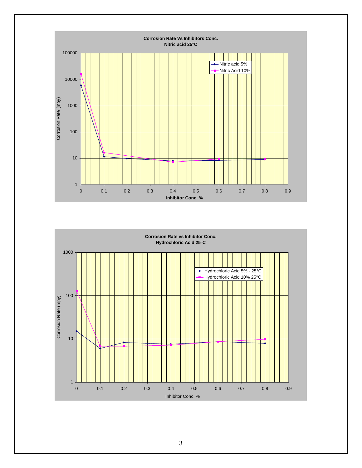

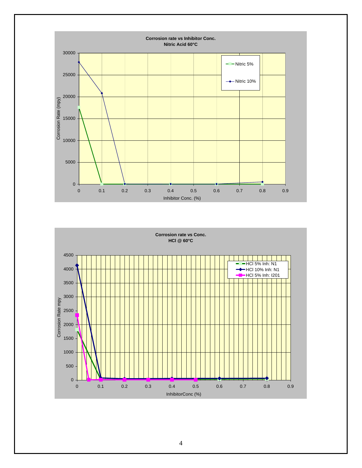

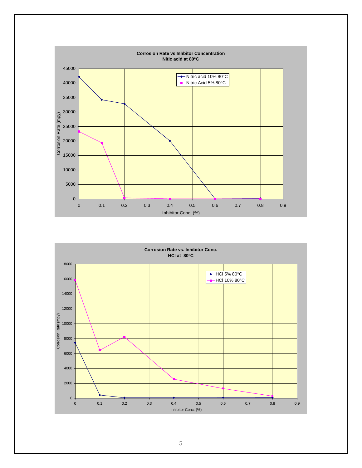

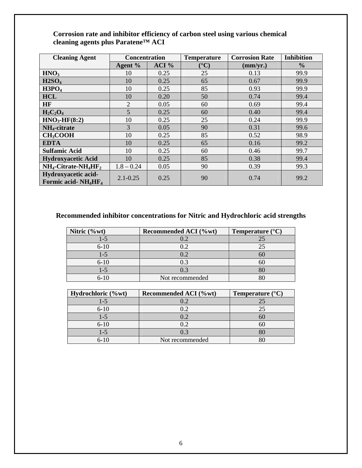#### **Corrosion rate and inhibitor efficiency of carbon steel using various chemical cleaning agents plus Paratene™ ACI**

| <b>Cleaning Agent</b>                                              | <b>Concentration</b> |       | <b>Temperature</b>    | <b>Corrosion Rate</b> | <b>Inhibition</b> |
|--------------------------------------------------------------------|----------------------|-------|-----------------------|-----------------------|-------------------|
|                                                                    | Agent %              | ACI % | $({}^{\circ}{\rm C})$ | (mm/yr.)              | $\frac{6}{6}$     |
| HNO <sub>3</sub>                                                   | 10                   | 0.25  | 25                    | 0.13                  | 99.9              |
| H2SO <sub>4</sub>                                                  | 10                   | 0.25  | 65                    | 0.67                  | 99.9              |
| H3PO <sub>4</sub>                                                  | 10                   | 0.25  | 85                    | 0.93                  | 99.9              |
| <b>HCL</b>                                                         | 10                   | 0.20  | 50                    | 0.74                  | 99.4              |
| <b>HF</b>                                                          | $\overline{2}$       | 0.05  | 60                    | 0.69                  | 99.4              |
| $H_2C_2O_4$                                                        | 5                    | 0.25  | 60                    | 0.40                  | 99.4              |
| $HNO3$ -HF(8:2)                                                    | 10                   | 0.25  | 25                    | 0.24                  | 99.9              |
| NH <sub>4</sub> -citrate                                           | 3                    | 0.05  | 90                    | 0.31                  | 99.6              |
| <b>CH<sub>3</sub>COOH</b>                                          | 10                   | 0.25  | 85                    | 0.52                  | 98.9              |
| <b>EDTA</b>                                                        | 10                   | 0.25  | 65                    | 0.16                  | 99.2              |
| <b>Sulfamic Acid</b>                                               | 10                   | 0.25  | 60                    | 0.46                  | 99.7              |
| <b>Hydroxyacetic Acid</b>                                          | 10                   | 0.25  | 85                    | 0.38                  | 99.4              |
| $NH_4$ -Citrate-NH <sub>4</sub> HF <sub>2</sub>                    | $1.8 - 0.24$         | 0.05  | 90                    | 0.39                  | 99.3              |
| Hydroxyacetic acid-<br>Formic acid-NH <sub>4</sub> HF <sub>4</sub> | $2.1 - 0.25$         | 0.25  | 90                    | 0.74                  | 99.2              |

## **Recommended inhibitor concentrations for Nitric and Hydrochloric acid strengths**

| Nitric $(\%$ wt) | Recommended ACI (%wt) | Temperature $(^{\circ}C)$ |
|------------------|-----------------------|---------------------------|
| $-5$             |                       |                           |
| $6 - 10$         | $2 \cdot 2$           |                           |
| $-5$             |                       |                           |
| $6 - 10$         | 0.3                   |                           |
| $-5$             | .) ?                  |                           |
| $6 - 10$         | Not recommended       |                           |

| Hydrochloric (%wt) | Recommended ACI (%wt) | Temperature $(^{\circ}C)$ |
|--------------------|-----------------------|---------------------------|
| 1-5                | 0.2                   | 25                        |
| $6 - 10$           | 0.2                   | 25                        |
| l -5               | 0.2                   | 60                        |
| $6 - 10$           | 0.2                   | 6C                        |
| l -5               | 0.3                   |                           |
| $6 - 10$           | Not recommended       |                           |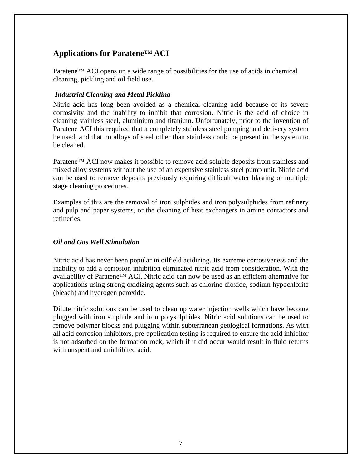## **Applications for Paratene™ ACI**

Paratene™ ACI opens up a wide range of possibilities for the use of acids in chemical cleaning, pickling and oil field use.

#### *Industrial Cleaning and Metal Pickling*

Nitric acid has long been avoided as a chemical cleaning acid because of its severe corrosivity and the inability to inhibit that corrosion. Nitric is the acid of choice in cleaning stainless steel, aluminium and titanium. Unfortunately, prior to the invention of Paratene ACI this required that a completely stainless steel pumping and delivery system be used, and that no alloys of steel other than stainless could be present in the system to be cleaned.

Paratene™ ACI now makes it possible to remove acid soluble deposits from stainless and mixed alloy systems without the use of an expensive stainless steel pump unit. Nitric acid can be used to remove deposits previously requiring difficult water blasting or multiple stage cleaning procedures.

Examples of this are the removal of iron sulphides and iron polysulphides from refinery and pulp and paper systems, or the cleaning of heat exchangers in amine contactors and refineries.

#### *Oil and Gas Well Stimulation*

Nitric acid has never been popular in oilfield acidizing. Its extreme corrosiveness and the inability to add a corrosion inhibition eliminated nitric acid from consideration. With the availability of Paratene™ ACI, Nitric acid can now be used as an efficient alternative for applications using strong oxidizing agents such as chlorine dioxide, sodium hypochlorite (bleach) and hydrogen peroxide.

Dilute nitric solutions can be used to clean up water injection wells which have become plugged with iron sulphide and iron polysulphides. Nitric acid solutions can be used to remove polymer blocks and plugging within subterranean geological formations. As with all acid corrosion inhibitors, pre-application testing is required to ensure the acid inhibitor is not adsorbed on the formation rock, which if it did occur would result in fluid returns with unspent and uninhibited acid.